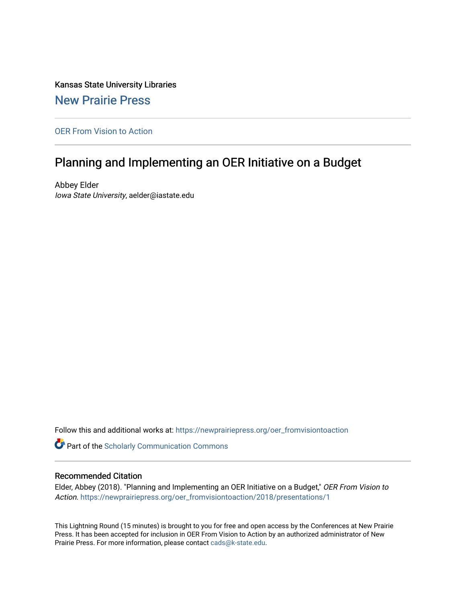Kansas State University Libraries [New Prairie Press](https://newprairiepress.org/) 

[OER From Vision to Action](https://newprairiepress.org/oer_fromvisiontoaction) 

#### Planning and Implementing an OER Initiative on a Budget

Abbey Elder Iowa State University, aelder@iastate.edu

Follow this and additional works at: [https://newprairiepress.org/oer\\_fromvisiontoaction](https://newprairiepress.org/oer_fromvisiontoaction?utm_source=newprairiepress.org%2Foer_fromvisiontoaction%2F2018%2Fpresentations%2F1&utm_medium=PDF&utm_campaign=PDFCoverPages) 

Part of the [Scholarly Communication Commons](http://network.bepress.com/hgg/discipline/1272?utm_source=newprairiepress.org%2Foer_fromvisiontoaction%2F2018%2Fpresentations%2F1&utm_medium=PDF&utm_campaign=PDFCoverPages) 

#### Recommended Citation

Elder, Abbey (2018). "Planning and Implementing an OER Initiative on a Budget," OER From Vision to Action. [https://newprairiepress.org/oer\\_fromvisiontoaction/2018/presentations/1](https://newprairiepress.org/oer_fromvisiontoaction/2018/presentations/1)

This Lightning Round (15 minutes) is brought to you for free and open access by the Conferences at New Prairie Press. It has been accepted for inclusion in OER From Vision to Action by an authorized administrator of New Prairie Press. For more information, please contact [cads@k-state.edu.](mailto:cads@k-state.edu)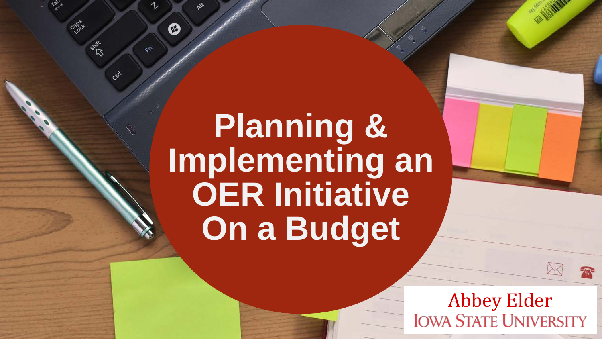## **Planning & Implementing an OER Initiative On a Budget**

⊗

 $\mathcal{L}^{\mathcal{C}}$ 

col

Abbey Elder<br>IOWA STATE UNIVERSITY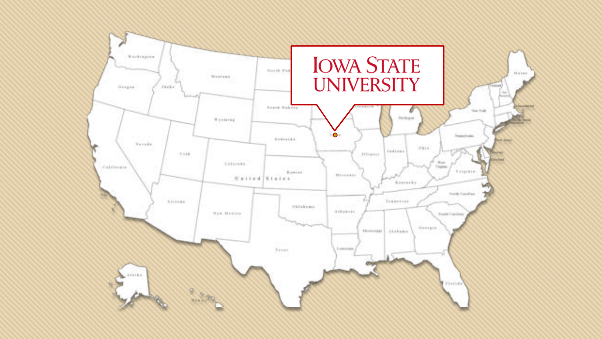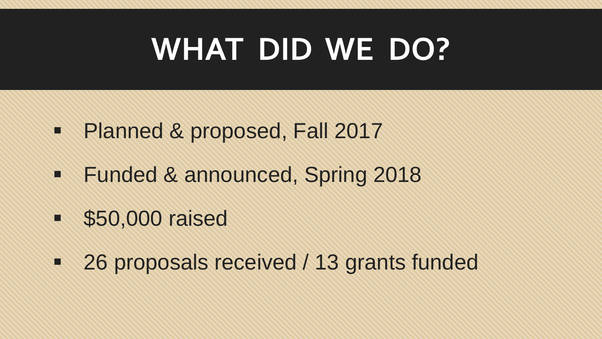### **WHAT DID WE DO?**

- Planned & proposed, Fall 2017
- **Funded & announced, Spring 2018**
- **550,000 raised**
- 26 proposals received / 13 grants funded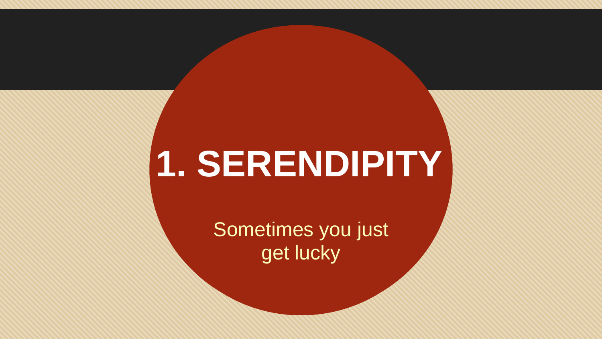# **1. SERENDIPITY**

Sometimes you just get lucky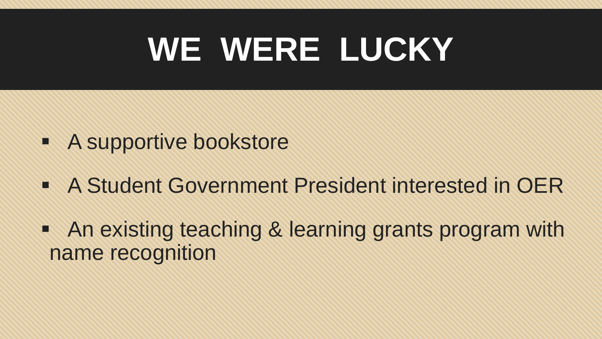# **WE WERE LUCKY**

- **A supportive bookstore**
- A Student Government President interested in OER
- An existing teaching & learning grants program with name recognition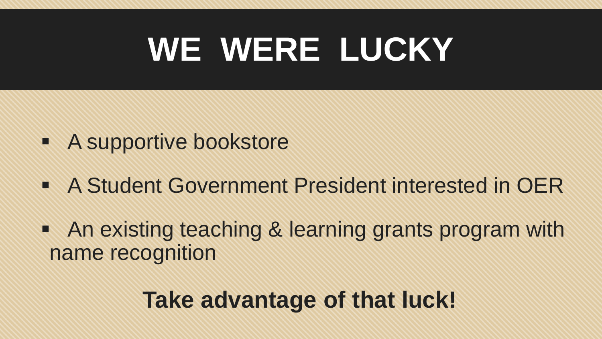# **WE WERE LUCKY**

- **A supportive bookstore**
- A Student Government President interested in OER
- An existing teaching & learning grants program with name recognition

#### **Take advantage of that luck!**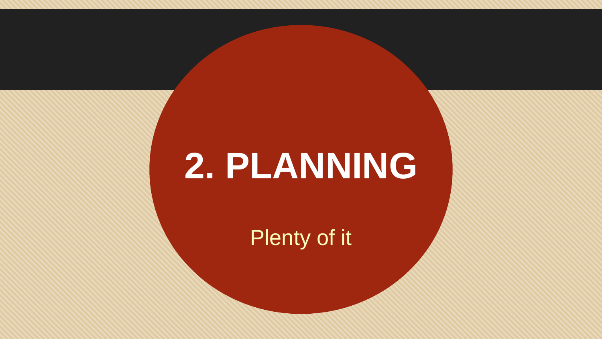# **2. PLANNING**

Plenty of it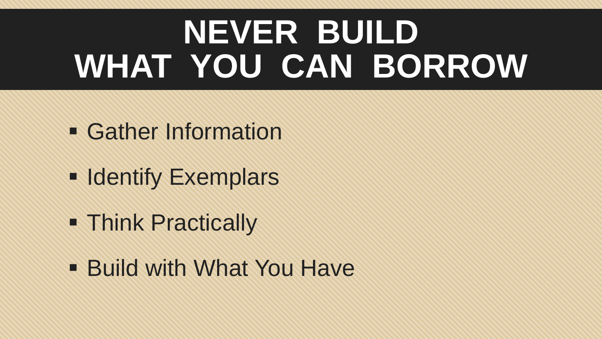# **NEVER BUILD WHAT YOU CAN BORROW**

- **Gather Information**
- **Exemplars**
- **Think Practically**
- **Build with What You Have**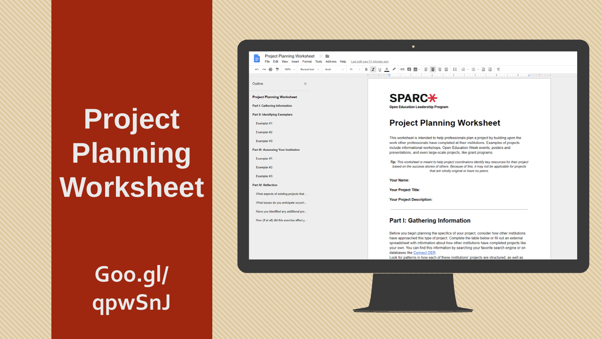### **Project Planning Worksheet**

いっので

Exemplar #2:

Exemplar #3: **Part IV: Reflection** 

What aspects of existing projects that What issues do you anticipate occurri.. Have you identified any additional pro. How (if at all) did this exercise affect y.

**Project Planning Worksheet** Part I: Gathering Information Part II: Identifying Exemplars Exemplar #1: Exemplar #2: Exemplar #3: Part III: Assessing Your Institution Exemplar #1:

Outline

**Goo.gl/ qpwSnJ**

|                                                                                                                              | ٠                                                                                                                                                                                                                                                       |
|------------------------------------------------------------------------------------------------------------------------------|---------------------------------------------------------------------------------------------------------------------------------------------------------------------------------------------------------------------------------------------------------|
| <b>Project Planning Worksheet</b><br>- 12<br>File Edit View Insert Format Tools Add-ons Help<br>Last edit was 51 minutes ago |                                                                                                                                                                                                                                                         |
| 100%<br><b>Normal text</b><br>Arial                                                                                          | <b>B Z U A 2 ∞ E B   E E E E E E · E · E E X</b><br>美国大学学会 医甲醛酸钠 医肾上腺 医肾上腺 医单位的复数形式 医单位角膜 医单位性神经 医单位性 医单位性 医单位性白蛋白 医水杨酸                                                                                                                                 |
| ×                                                                                                                            |                                                                                                                                                                                                                                                         |
| t Planning Worksheet                                                                                                         | <b>SPARC*</b>                                                                                                                                                                                                                                           |
| sthering Information                                                                                                         | <b>Open Education Leadership Program</b>                                                                                                                                                                                                                |
| dentifying Exemplars                                                                                                         |                                                                                                                                                                                                                                                         |
| plar #1:                                                                                                                     | <b>Project Planning Worksheet</b>                                                                                                                                                                                                                       |
| plar <sub>#2</sub>                                                                                                           |                                                                                                                                                                                                                                                         |
| plar <sub>#3</sub>                                                                                                           | This worksheet is intended to help professionals plan a project by building upon the<br>work other professionals have completed at their institutions. Examples of projects<br>include informational workshops. Open Education Week events, posters and |
| <b>Assessing Your Institution</b>                                                                                            | presentations, and even large-scale projects, like grant programs.                                                                                                                                                                                      |
| plar #1                                                                                                                      | Tip: This worksheet is meant to help project coordinators identify key resources for their project                                                                                                                                                      |
| plar #2                                                                                                                      | based on the success stories of others. Because of this, it may not be applicable for projects<br>that are wholly original or have no peers.                                                                                                            |
| plar #3                                                                                                                      | <b>Your Name:</b>                                                                                                                                                                                                                                       |
| <b>Reflection</b>                                                                                                            | <b>Your Project Title:</b>                                                                                                                                                                                                                              |
| aspects of existing projects that                                                                                            |                                                                                                                                                                                                                                                         |
| issues do you anticipate occurri                                                                                             | <b>Your Project Description:</b>                                                                                                                                                                                                                        |
| you identified any additional pro                                                                                            |                                                                                                                                                                                                                                                         |
| (if at all) did this exercise affect y                                                                                       | <b>Part I: Gathering Information</b>                                                                                                                                                                                                                    |
|                                                                                                                              | Before you begin planning the specifics of your project, consider how other institutions<br>have annonched this tune of region! Complete the table below or fill out on external                                                                        |

spreadsheet with information about how other institutions have completed projects like your own. You can find this information by searching your favorite search engine or on databases like Connect OER.

ゆうどうアイティー

Look for patterns in how each of these institutions' projects are structured, as well as

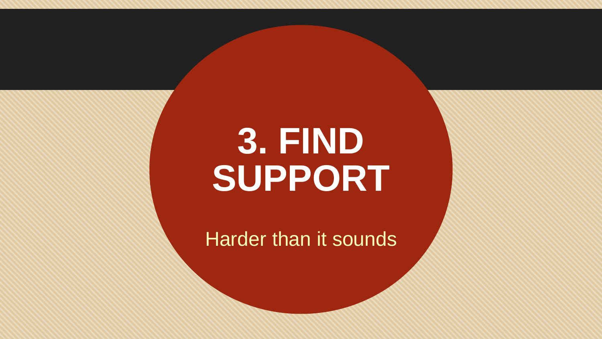# **3. FIND SUPPORT**

Harder than it sounds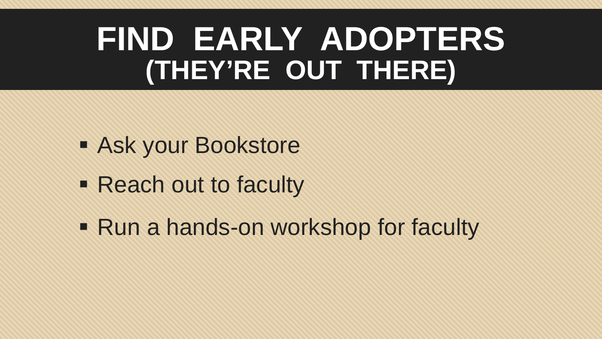#### **FIND EARLY ADOPTERS (THEY'RE OUT THERE)**

- **Ask your Bookstore**
- Reach out to faculty
- Run a hands-on workshop for faculty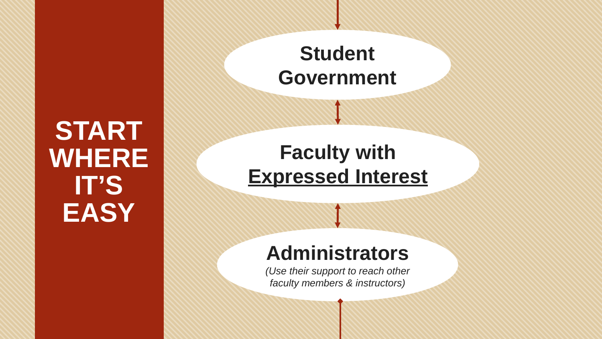#### **START WHERE IT'S EASY**

**Student Government**

#### **Faculty with Expressed Interest**

#### **Administrators**

*(Use their support to reach other faculty members & instructors)*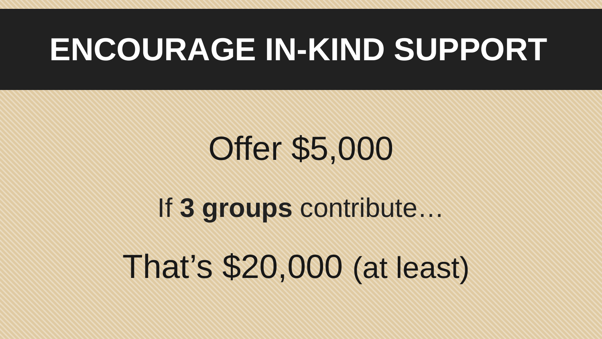### **ENCOURAGE IN-KIND SUPPORT**

# That's \$20,000 (at least) Offer \$5,000 If **3 groups** contribute…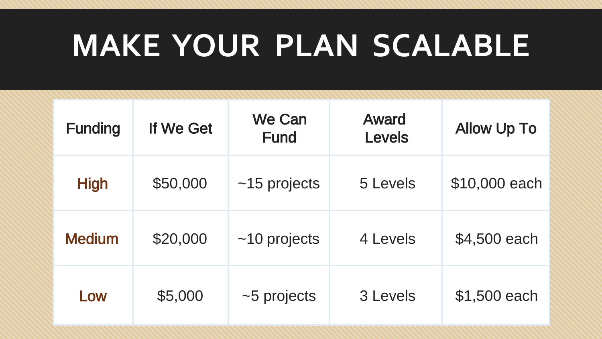### **MAKE YOUR PLAN SCALABLE**

| <b>Funding</b> | If We Get | We Can<br><b>Fund</b> | Award<br>Levels | <b>Allow Up To</b> |
|----------------|-----------|-----------------------|-----------------|--------------------|
| <b>High</b>    | \$50,000  | $~15$ projects        | 5 Levels        | \$10,000 each      |
| <b>Medium</b>  | \$20,000  | $~10$ projects        | 4 Levels        | \$4,500 each       |
| Low            | \$5,000   | $~5$ projects         | 3 Levels        | \$1,500 each       |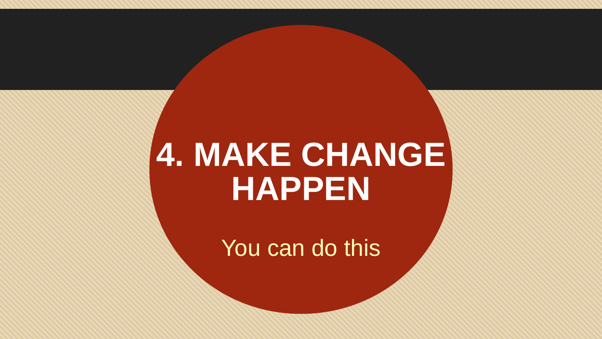# **4. MAKE CHANGE HAPPEN**

You can do this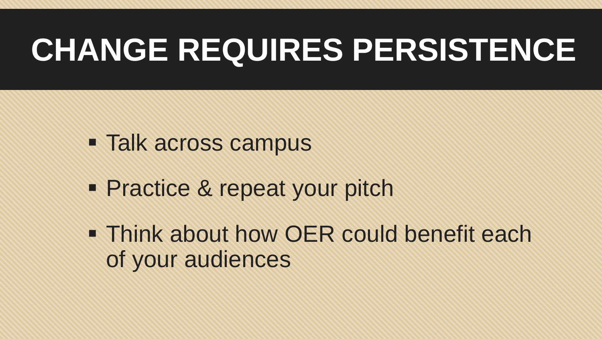# **CHANGE REQUIRES PERSISTENCE**

- **Talk across campus**
- **Practice & repeat your pitch**
- **Think about how OER could benefit each** of your audiences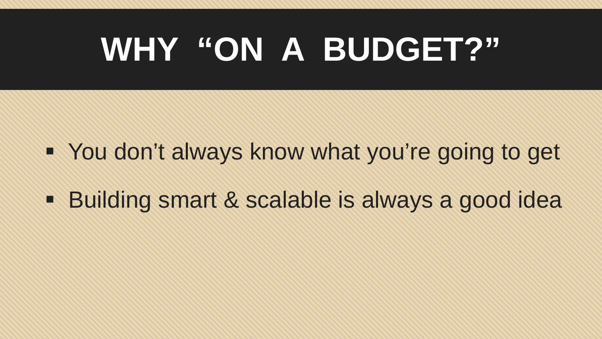# **WHY "ON A BUDGET?"**

- You don't always know what you're going to get
- Building smart & scalable is always a good idea